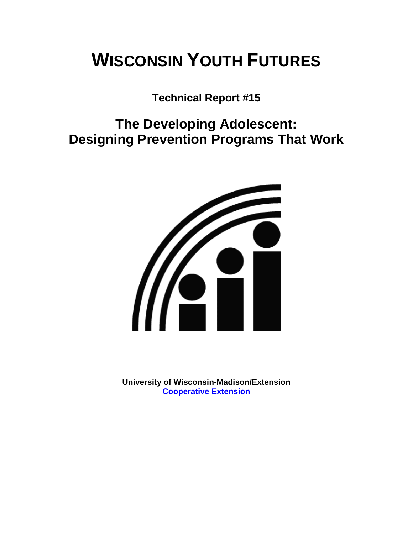# **WISCONSIN YOUTH FUTURES**

**Technical Report #15** 

**The Developing Adolescent: Designing Prevention Programs That Work** 



**University of Wisconsin-Madison/Extension [Cooperative Extension](http://www1.uwex.edu/ces/index.cfm)**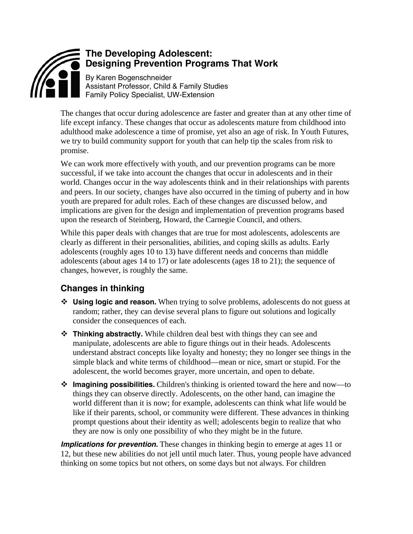

The changes that occur during adolescence are faster and greater than at any other time of life except infancy. These changes that occur as adolescents mature from childhood into adulthood make adolescence a time of promise, yet also an age of risk. In Youth Futures, we try to build community support for youth that can help tip the scales from risk to promise.

We can work more effectively with youth, and our prevention programs can be more successful, if we take into account the changes that occur in adolescents and in their world. Changes occur in the way adolescents think and in their relationships with parents and peers. In our society, changes have also occurred in the timing of puberty and in how youth are prepared for adult roles. Each of these changes are discussed below, and implications are given for the design and implementation of prevention programs based upon the research of Steinberg, Howard, the Carnegie Council, and others.

While this paper deals with changes that are true for most adolescents, adolescents are clearly as different in their personalities, abilities, and coping skills as adults. Early adolescents (roughly ages 10 to 13) have different needs and concerns than middle adolescents (about ages 14 to 17) or late adolescents (ages 18 to 21); the sequence of changes, however, is roughly the same.

## **Changes in thinking**

- **Using logic and reason.** When trying to solve problems, adolescents do not guess at random; rather, they can devise several plans to figure out solutions and logically consider the consequences of each.
- **Thinking abstractly.** While children deal best with things they can see and manipulate, adolescents are able to figure things out in their heads. Adolescents understand abstract concepts like loyalty and honesty; they no longer see things in the simple black and white terms of childhood—mean or nice, smart or stupid. For the adolescent, the world becomes grayer, more uncertain, and open to debate.
- **Imagining possibilities.** Children's thinking is oriented toward the here and now—to things they can observe directly. Adolescents, on the other hand, can imagine the world different than it is now; for example, adolescents can think what life would be like if their parents, school, or community were different. These advances in thinking prompt questions about their identity as well; adolescents begin to realize that who they are now is only one possibility of who they might be in the future.

*Implications for prevention.* These changes in thinking begin to emerge at ages 11 or 12, but these new abilities do not jell until much later. Thus, young people have advanced thinking on some topics but not others, on some days but not always. For children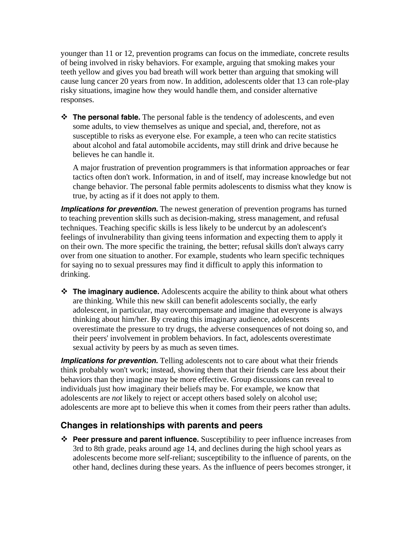younger than 11 or 12, prevention programs can focus on the immediate, concrete results of being involved in risky behaviors. For example, arguing that smoking makes your teeth yellow and gives you bad breath will work better than arguing that smoking will cause lung cancer 20 years from now. In addition, adolescents older that 13 can role-play risky situations, imagine how they would handle them, and consider alternative responses.

 **The personal fable.** The personal fable is the tendency of adolescents, and even some adults, to view themselves as unique and special, and, therefore, not as susceptible to risks as everyone else. For example, a teen who can recite statistics about alcohol and fatal automobile accidents, may still drink and drive because he believes he can handle it.

A major frustration of prevention programmers is that information approaches or fear tactics often don't work. Information, in and of itself, may increase knowledge but not change behavior. The personal fable permits adolescents to dismiss what they know is true, by acting as if it does not apply to them.

*Implications for prevention.* The newest generation of prevention programs has turned to teaching prevention skills such as decision-making, stress management, and refusal techniques. Teaching specific skills is less likely to be undercut by an adolescent's feelings of invulnerability than giving teens information and expecting them to apply it on their own. The more specific the training, the better; refusal skills don't always carry over from one situation to another. For example, students who learn specific techniques for saying no to sexual pressures may find it difficult to apply this information to drinking.

 **The imaginary audience.** Adolescents acquire the ability to think about what others are thinking. While this new skill can benefit adolescents socially, the early adolescent, in particular, may overcompensate and imagine that everyone is always thinking about him/her. By creating this imaginary audience, adolescents overestimate the pressure to try drugs, the adverse consequences of not doing so, and their peers' involvement in problem behaviors. In fact, adolescents overestimate sexual activity by peers by as much as seven times.

*Implications for prevention.* Telling adolescents not to care about what their friends think probably won't work; instead, showing them that their friends care less about their behaviors than they imagine may be more effective. Group discussions can reveal to individuals just how imaginary their beliefs may be. For example, we know that adolescents are *not* likely to reject or accept others based solely on alcohol use; adolescents are more apt to believe this when it comes from their peers rather than adults.

#### **Changes in relationships with parents and peers**

 **Peer pressure and parent influence.** Susceptibility to peer influence increases from 3rd to 8th grade, peaks around age 14, and declines during the high school years as adolescents become more self-reliant; susceptibility to the influence of parents, on the other hand, declines during these years. As the influence of peers becomes stronger, it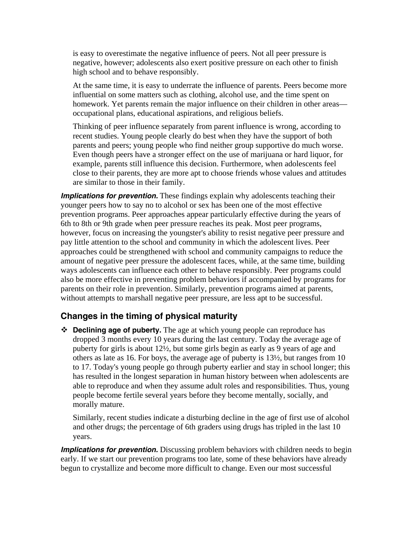is easy to overestimate the negative influence of peers. Not all peer pressure is negative, however; adolescents also exert positive pressure on each other to finish high school and to behave responsibly.

At the same time, it is easy to underrate the influence of parents. Peers become more influential on some matters such as clothing, alcohol use, and the time spent on homework. Yet parents remain the major influence on their children in other areas occupational plans, educational aspirations, and religious beliefs.

Thinking of peer influence separately from parent influence is wrong, according to recent studies. Young people clearly do best when they have the support of both parents and peers; young people who find neither group supportive do much worse. Even though peers have a stronger effect on the use of marijuana or hard liquor, for example, parents still influence this decision. Furthermore, when adolescents feel close to their parents, they are more apt to choose friends whose values and attitudes are similar to those in their family.

**Implications for prevention.** These findings explain why adolescents teaching their younger peers how to say no to alcohol or sex has been one of the most effective prevention programs. Peer approaches appear particularly effective during the years of 6th to 8th or 9th grade when peer pressure reaches its peak. Most peer programs, however, focus on increasing the youngster's ability to resist negative peer pressure and pay little attention to the school and community in which the adolescent lives. Peer approaches could be strengthened with school and community campaigns to reduce the amount of negative peer pressure the adolescent faces, while, at the same time, building ways adolescents can influence each other to behave responsibly. Peer programs could also be more effective in preventing problem behaviors if accompanied by programs for parents on their role in prevention. Similarly, prevention programs aimed at parents, without attempts to marshall negative peer pressure, are less apt to be successful.

#### **Changes in the timing of physical maturity**

 **Declining age of puberty.** The age at which young people can reproduce has dropped 3 months every 10 years during the last century. Today the average age of puberty for girls is about 12½, but some girls begin as early as 9 years of age and others as late as 16. For boys, the average age of puberty is 13½, but ranges from 10 to 17. Today's young people go through puberty earlier and stay in school longer; this has resulted in the longest separation in human history between when adolescents are able to reproduce and when they assume adult roles and responsibilities. Thus, young people become fertile several years before they become mentally, socially, and morally mature.

Similarly, recent studies indicate a disturbing decline in the age of first use of alcohol and other drugs; the percentage of 6th graders using drugs has tripled in the last 10 years.

*Implications for prevention.* Discussing problem behaviors with children needs to begin early. If we start our prevention programs too late, some of these behaviors have already begun to crystallize and become more difficult to change. Even our most successful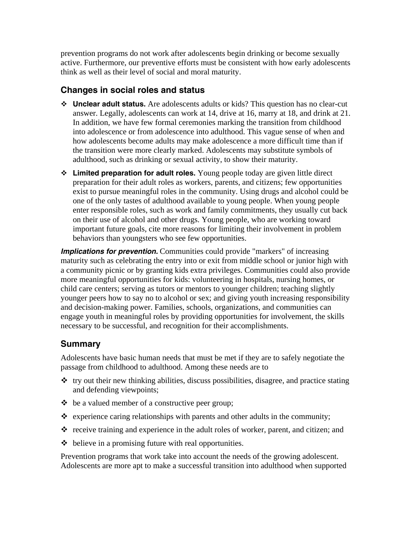prevention programs do not work after adolescents begin drinking or become sexually active. Furthermore, our preventive efforts must be consistent with how early adolescents think as well as their level of social and moral maturity.

#### **Changes in social roles and status**

- **Unclear adult status.** Are adolescents adults or kids? This question has no clear-cut answer. Legally, adolescents can work at 14, drive at 16, marry at 18, and drink at 21. In addition, we have few formal ceremonies marking the transition from childhood into adolescence or from adolescence into adulthood. This vague sense of when and how adolescents become adults may make adolescence a more difficult time than if the transition were more clearly marked. Adolescents may substitute symbols of adulthood, such as drinking or sexual activity, to show their maturity.
- **Limited preparation for adult roles.** Young people today are given little direct preparation for their adult roles as workers, parents, and citizens; few opportunities exist to pursue meaningful roles in the community. Using drugs and alcohol could be one of the only tastes of adulthood available to young people. When young people enter responsible roles, such as work and family commitments, they usually cut back on their use of alcohol and other drugs. Young people, who are working toward important future goals, cite more reasons for limiting their involvement in problem behaviors than youngsters who see few opportunities.

*Implications for prevention.* Communities could provide "markers" of increasing maturity such as celebrating the entry into or exit from middle school or junior high with a community picnic or by granting kids extra privileges. Communities could also provide more meaningful opportunities for kids: volunteering in hospitals, nursing homes, or child care centers; serving as tutors or mentors to younger children; teaching slightly younger peers how to say no to alcohol or sex; and giving youth increasing responsibility and decision-making power. Families, schools, organizations, and communities can engage youth in meaningful roles by providing opportunities for involvement, the skills necessary to be successful, and recognition for their accomplishments.

### **Summary**

Adolescents have basic human needs that must be met if they are to safely negotiate the passage from childhood to adulthood. Among these needs are to

- $\cdot$  try out their new thinking abilities, discuss possibilities, disagree, and practice stating and defending viewpoints;
- $\triangle$  be a valued member of a constructive peer group;
- $\triangle$  experience caring relationships with parents and other adults in the community;
- $\cdot$  receive training and experience in the adult roles of worker, parent, and citizen; and
- $\triangle$  believe in a promising future with real opportunities.

Prevention programs that work take into account the needs of the growing adolescent. Adolescents are more apt to make a successful transition into adulthood when supported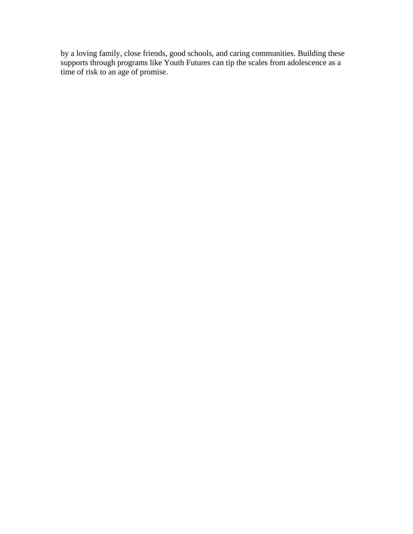by a loving family, close friends, good schools, and caring communities. Building these supports through programs like Youth Futures can tip the scales from adolescence as a time of risk to an age of promise.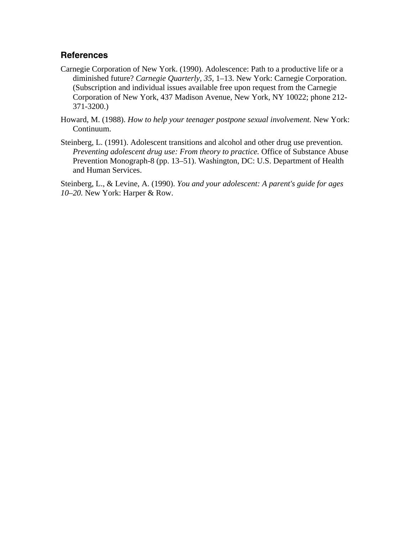#### **References**

- Carnegie Corporation of New York. (1990). Adolescence: Path to a productive life or a diminished future? *Carnegie Quarterly, 35,* 1–13. New York: Carnegie Corporation. (Subscription and individual issues available free upon request from the Carnegie Corporation of New York, 437 Madison Avenue, New York, NY 10022; phone 212- 371-3200.)
- Howard, M. (1988). *How to help your teenager postpone sexual involvement.* New York: Continuum.
- Steinberg, L. (1991). Adolescent transitions and alcohol and other drug use prevention. *Preventing adolescent drug use: From theory to practice.* Office of Substance Abuse Prevention Monograph-8 (pp. 13–51). Washington, DC: U.S. Department of Health and Human Services.

Steinberg, L., & Levine, A. (1990). *You and your adolescent: A parent's guide for ages 10–20.* New York: Harper & Row.